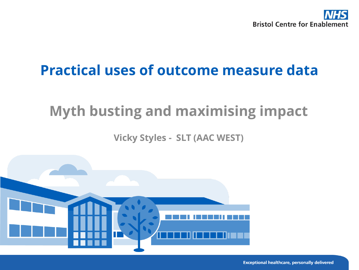

#### **Practical uses of outcome measure data**

#### **Myth busting and maximising impact**

**Vicky Styles - SLT (AAC WEST)**

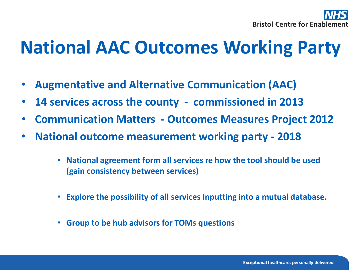

## **National AAC Outcomes Working Party**

- **Augmentative and Alternative Communication (AAC)**
- **14 services across the county - commissioned in 2013**
- **Communication Matters - Outcomes Measures Project 2012**
- **National outcome measurement working party - 2018** 
	- **National agreement form all services re how the tool should be used (gain consistency between services)**
	- **Explore the possibility of all services Inputting into a mutual database.**
	- **Group to be hub advisors for TOMs questions**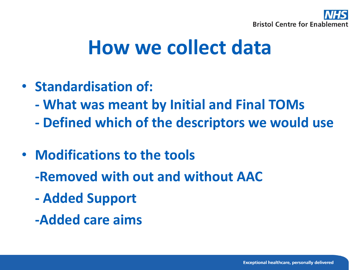

# **How we collect data**

- **Standardisation of:**
	- **- What was meant by Initial and Final TOMs**
	- **- Defined which of the descriptors we would use**
- **Modifications to the tools**
	- **-Removed with out and without AAC**
	- **- Added Support**
	- **-Added care aims**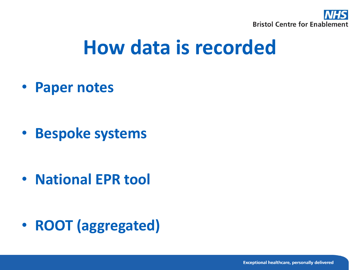

# **How data is recorded**

• **Paper notes**

• **Bespoke systems**

• **National EPR tool**

• **ROOT (aggregated)**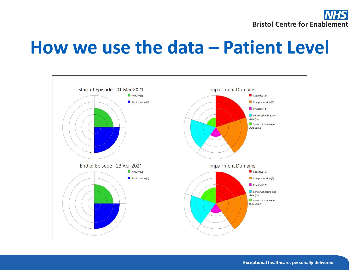

### **How we use the data – Patient Level**



**Exceptional healthcare, personally delivered**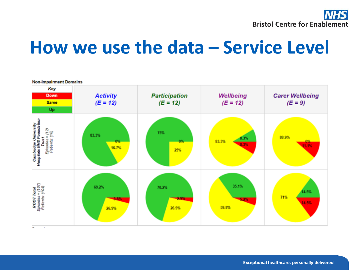

### **How we use the data – Service Level**



**Exceptional healthcare, personally delivered**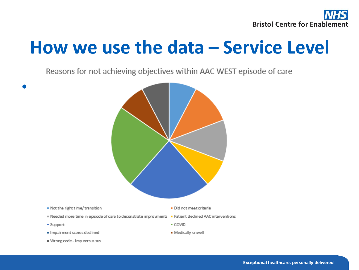

## **How we use the data – Service Level**

Reasons for not achieving objectives within AAC WEST episode of care

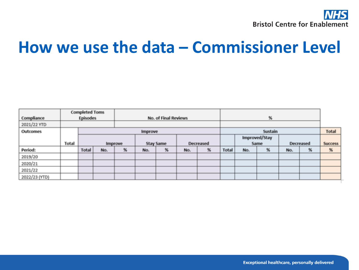

### **How we use the data – Commissioner Level**

| Compliance    | <b>Completed Toms</b><br><b>Episodes</b> |                |     | No. of Final Reviews |                  |   |     |           | $\%$           |                       |   |           |   |                |
|---------------|------------------------------------------|----------------|-----|----------------------|------------------|---|-----|-----------|----------------|-----------------------|---|-----------|---|----------------|
| 2021/22 YTD   |                                          |                |     |                      |                  |   |     |           |                |                       |   |           |   |                |
| Outcomes      |                                          | <b>Improve</b> |     |                      |                  |   |     |           | <b>Sustain</b> |                       |   |           |   | Total          |
|               | Total                                    |                |     |                      | <b>Stay Same</b> |   |     | Decreased |                | Improved/Stay<br>Same |   | Decreased |   | <b>Success</b> |
|               |                                          | Improve        |     |                      |                  |   |     |           |                |                       |   |           |   |                |
| Period:       |                                          | Total          | No. | $\%$                 | No.              | 緊 | No. | 製         | Total          | No.                   | % | No.       | 製 | %              |
| 2019/20       |                                          |                |     |                      |                  |   |     |           |                |                       |   |           |   |                |
| 2020/21       |                                          |                |     |                      |                  |   |     |           |                |                       |   |           |   |                |
| 2021/22       |                                          |                |     |                      |                  |   |     |           |                |                       |   |           |   |                |
| 2022/23 (YTD) |                                          |                |     |                      |                  |   |     |           |                |                       |   |           |   |                |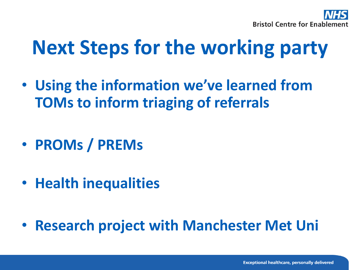

# **Next Steps for the working party**

- **Using the information we've learned from TOMs to inform triaging of referrals**
- **PROMs / PREMs**
- **Health inequalities**
- **Research project with Manchester Met Uni**